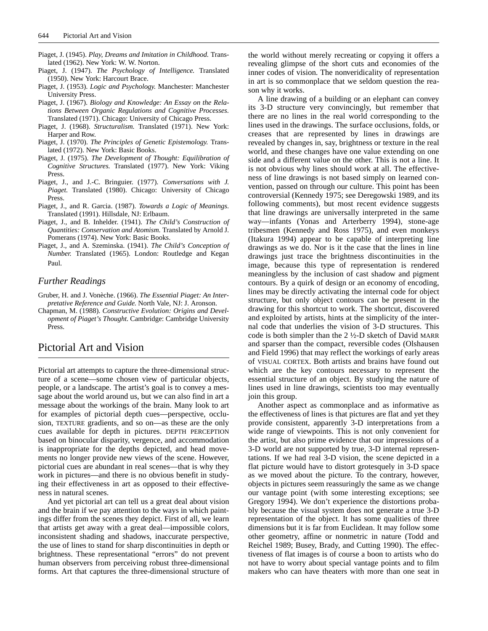- Piaget, J. (1945). *Play, Dreams and Imitation in Childhood.* Translated (1962). New York: W. W. Norton.
- Piaget, J. (1947). *The Psychology of Intelligence.* Translated (1950). New York: Harcourt Brace.
- Piaget, J. (1953). *Logic and Psychology.* Manchester: Manchester University Press.
- Piaget, J. (1967). *Biology and Knowledge: An Essay on the Relations Between Organic Regulations and Cognitive Processes.* Translated (1971). Chicago: University of Chicago Press.
- Piaget, J. (1968). *Structuralism.* Translated (1971). New York: Harper and Row.
- Piaget, J. (1970). *The Principles of Genetic Epistemology.* Translated (1972). New York: Basic Books.
- Piaget, J. (1975). *The Development of Thought: Equilibration of Cognitive Structures.* Translated (1977). New York: Viking Press.
- Piaget, J., and J.-C. Bringuier. (1977). *Conversations with J. Piaget.* Translated (1980). Chicago: University of Chicago Press.
- Piaget, J., and R. Garcia. (1987). *Towards a Logic of Meanings.* Translated (1991). Hillsdale, NJ: Erlbaum.
- Piaget, J., and B. Inhelder. (1941). *The Child's Construction of Quantities: Conservation and Atomism.* Translated by Arnold J. Pomerans (1974). New York: Basic Books.
- Piaget, J., and A. Szeminska. (1941). *The Child's Conception of Number.* Translated (1965). London: Routledge and Kegan Paul.

#### *Further Readings*

- Gruber, H. and J. Vonèche. (1966). *The Essential Piaget: An Interpretative Reference and Guide.* North Vale, NJ: J. Aronson.
- Chapman, M. (1988). *Constructive Evolution: Origins and Development of Piaget's Thought.* Cambridge: Cambridge University Press.

# Pictorial Art and Vision

Pictorial art attempts to capture the three-dimensional structure of a scene—some chosen view of particular objects, people, or a landscape. The artist's goal is to convey a message about the world around us, but we can also find in art a message about the workings of the brain. Many look to art for examples of pictorial depth cues—perspective, occlusion, TEXTURE gradients, and so on—as these are the only cues available for depth in pictures. DEPTH PERCEPTION based on binocular disparity, vergence, and accommodation is inappropriate for the depths depicted, and head movements no longer provide new views of the scene. However, pictorial cues are abundant in real scenes—that is why they work in pictures—and there is no obvious benefit in studying their effectiveness in art as opposed to their effectiveness in natural scenes.

And yet pictorial art can tell us a great deal about vision and the brain if we pay attention to the ways in which paintings differ from the scenes they depict. First of all, we learn that artists get away with a great deal—impossible colors, inconsistent shading and shadows, inaccurate perspective, the use of lines to stand for sharp discontinuities in depth or brightness. These representational "errors" do not prevent human observers from perceiving robust three-dimensional forms. Art that captures the three-dimensional structure of

the world without merely recreating or copying it offers a revealing glimpse of the short cuts and economies of the inner codes of vision. The nonveridicality of representation in art is so commonplace that we seldom question the reason why it works.

A line drawing of a building or an elephant can convey its 3-D structure very convincingly, but remember that there are no lines in the real world corresponding to the lines used in the drawings. The surface occlusions, folds, or creases that are represented by lines in drawings are revealed by changes in, say, brightness or texture in the real world, and these changes have one value extending on one side and a different value on the other. This is not a line. It is not obvious why lines should work at all. The effectiveness of line drawings is not based simply on learned convention, passed on through our culture. This point has been controversial (Kennedy 1975; see Deregowski 1989, and its following comments), but most recent evidence suggests that line drawings are universally interpreted in the same way—infants (Yonas and Arterberry 1994), stone-age tribesmen (Kennedy and Ross 1975), and even monkeys (Itakura 1994) appear to be capable of interpreting line drawings as we do. Nor is it the case that the lines in line drawings just trace the brightness discontinuities in the image, because this type of representation is rendered meaningless by the inclusion of cast shadow and pigment contours. By a quirk of design or an economy of encoding, lines may be directly activating the internal code for object structure, but only object contours can be present in the drawing for this shortcut to work. The shortcut, discovered and exploited by artists, hints at the simplicity of the internal code that underlies the vision of 3-D structures. This code is both simpler than the 2 ½-D sketch of David MARR and sparser than the compact, reversible codes (Olshausen and Field 1996) that may reflect the workings of early areas of VISUAL CORTEX. Both artists and brains have found out which are the key contours necessary to represent the essential structure of an object. By studying the nature of lines used in line drawings, scientists too may eventually join this group.

Another aspect as commonplace and as informative as the effectiveness of lines is that pictures are flat and yet they provide consistent, apparently 3-D interpretations from a wide range of viewpoints. This is not only convenient for the artist, but also prime evidence that our impressions of a 3-D world are not supported by true, 3-D internal representations. If we had real 3-D vision, the scene depicted in a flat picture would have to distort grotesquely in 3-D space as we moved about the picture. To the contrary, however, objects in pictures seem reassuringly the same as we change our vantage point (with some interesting exceptions; see Gregory 1994). We don't experience the distortions probably because the visual system does not generate a true 3-D representation of the object. It has some qualities of three dimensions but it is far from Euclidean. It may follow some other geometry, affine or nonmetric in nature (Todd and Reichel 1989; Busey, Brady, and Cutting 1990). The effectiveness of flat images is of course a boon to artists who do not have to worry about special vantage points and to film makers who can have theaters with more than one seat in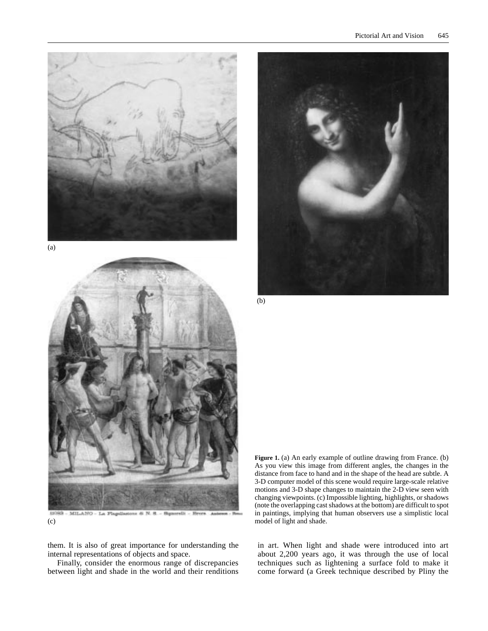

(a)



(c)

them. It is also of great importance for understanding the internal representations of objects and space.

Finally, consider the enormous range of discrepancies between light and shade in the world and their renditions



(b)

Figure 1. (a) An early example of outline drawing from France. (b) As you view this image from different angles, the changes in the distance from face to hand and in the shape of the head are subtle. A 3-D computer model of this scene would require large-scale relative motions and 3-D shape changes to maintain the 2-D view seen with changing viewpoints. (c) Impossible lighting, highlights, or shadows (note the overlapping cast shadows at the bottom) are difficult to spot in paintings, implying that human observers use a simplistic local model of light and shade.

in art. When light and shade were introduced into art about 2,200 years ago, it was through the use of local techniques such as lightening a surface fold to make it come forward (a Greek technique described by Pliny the